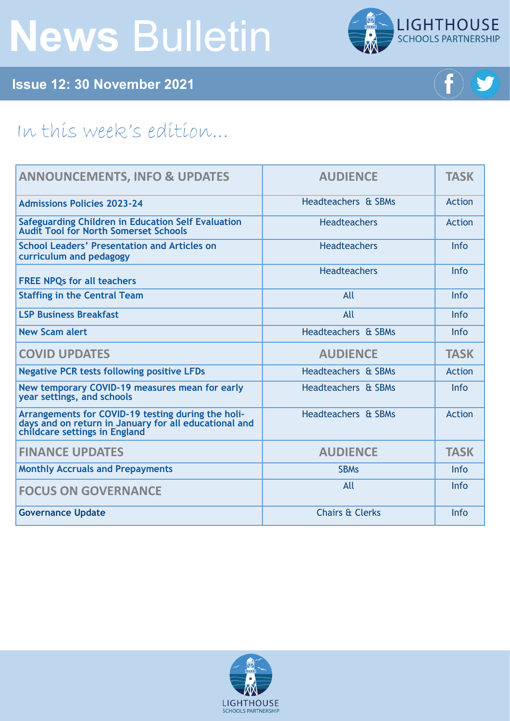# **News** Bulletin



**Issue 12: 30 November 2021**



## In this week's edition...

| <b>ANNOUNCEMENTS, INFO &amp; UPDATES</b>                                                                                                     | <b>AUDIENCE</b>            | <b>TASK</b>   |
|----------------------------------------------------------------------------------------------------------------------------------------------|----------------------------|---------------|
| <b>Admissions Policies 2023-24</b>                                                                                                           | Headteachers & SBMs        | <b>Action</b> |
| Safeguarding Children in Education Self Evaluation<br>Audit Tool for North Somerset Schools                                                  | <b>Headteachers</b>        | Action        |
| <b>School Leaders' Presentation and Articles on</b><br>curriculum and pedagogy                                                               | <b>Headteachers</b>        | Info          |
| <b>FREE NPQs for all teachers</b>                                                                                                            | <b>Headteachers</b>        | Info          |
| <b>Staffing in the Central Team</b>                                                                                                          | All                        | Info          |
| <b>LSP Business Breakfast</b>                                                                                                                | All                        | <b>Info</b>   |
| <b>New Scam alert</b>                                                                                                                        | Headteachers & SBMs        | Info          |
| <b>COVID UPDATES</b>                                                                                                                         | <b>AUDIENCE</b>            | <b>TASK</b>   |
| <b>Negative PCR tests following positive LFDs</b>                                                                                            | Headteachers & SBMs        | Action        |
| New temporary COVID-19 measures mean for early<br>year settings, and schools                                                                 | Headteachers & SBMs        | Info          |
| Arrangements for COVID-19 testing during the holi-<br>days and on return in January for all educational and<br>childcare settings in England | Headteachers & SBMs        | Action        |
| <b>FINANCE UPDATES</b>                                                                                                                       | <b>AUDIENCE</b>            | <b>TASK</b>   |
| <b>Monthly Accruals and Prepayments</b>                                                                                                      | <b>SBMs</b>                | Info          |
| <b>FOCUS ON GOVERNANCE</b>                                                                                                                   | All                        | <b>Info</b>   |
| <b>Governance Update</b>                                                                                                                     | <b>Chairs &amp; Clerks</b> | Info          |

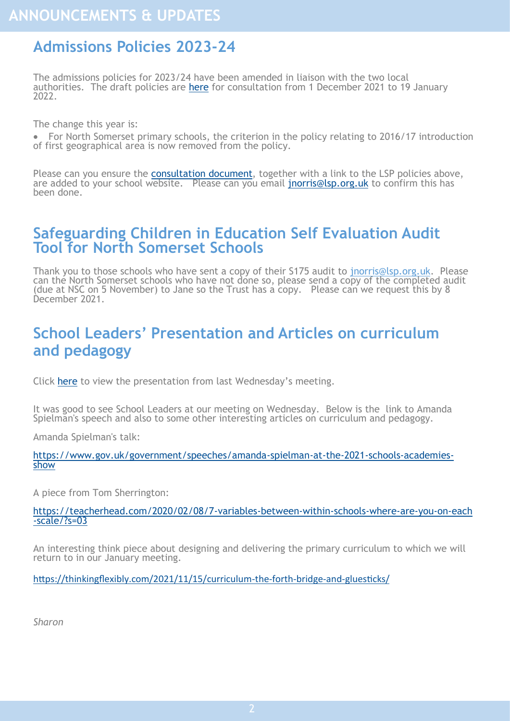## <span id="page-1-0"></span>**Admissions Policies 2023-24**

The admissions policies for 2023/24 have been amended in liaison with the two local authorities. The draft policies are [here](https://foldr.lsp.org.uk/public/NQJGP) for consultation from 1 December 2021 to 19 January 2022.

The change this year is:

• For North Somerset primary schools, the criterion in the policy relating to 2016/17 introduction of first geographical area is now removed from the policy.

Please can you ensure the [consultation document,](https://foldr.lsp.org.uk/public/N2V0N) together with a link to the LSP policies above, are added to your school website. Please can you email [jnorris@lsp.org.uk](mailto:jnorris@lsp.org.uk) to confirm this has been done.

## **Safeguarding Children in Education Self Evaluation Audit Tool for North Somerset Schools**

Thank you to those schools who have sent a copy of their S175 audit to [jnorris@lsp.org.uk.](mailto:jnorris@lsp.org.uk) Please can the North Somerset schools who have not done so, please send a copy of the completed audit (due at NSC on 5 November) to Jane so the Trust has a copy. Please can we request this by 8 December 2021.

## **School Leaders' Presentation and Articles on curriculum and pedagogy**

Click [here](https://foldr.lsp.org.uk/public/W5JQW) to view the presentation from last Wednesday's meeting.

It was good to see School Leaders at our meeting on Wednesday. Below is the link to Amanda Spielman's speech and also to some other interesting articles on curriculum and pedagogy.

Amanda Spielman's talk:

[https://www.gov.uk/government/speeches/amanda](https://www.gov.uk/government/speeches/amanda-spielman-at-the-2021-schools-academies-show)-spielman-at-the-2021-schools-academies[show](https://www.gov.uk/government/speeches/amanda-spielman-at-the-2021-schools-academies-show)

A piece from Tom Sherrington:

https://teacherhead.com/2020/02/08/7-variables-between-within-schools-where-are-you-on-each -scale/?s=03

An interesting think piece about designing and delivering the primary curriculum to which we will return to in our January meeting.

[https://thinkingflexibly.com/2021/11/15/curriculum](https://thinkingflexibly.com/2021/11/15/curriculum-the-forth-bridge-and-gluesticks/)-the-forth-bridge-and-gluesticks/

*Sharon*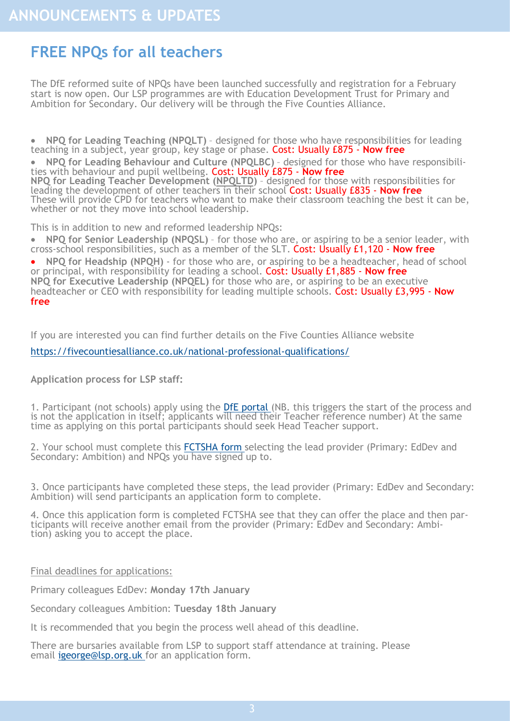## <span id="page-2-0"></span>**FREE NPQs for all teachers**

The DfE reformed suite of NPQs have been launched successfully and registration for a February start is now open. Our LSP programmes are with Education Development Trust for Primary and Ambition for Secondary. Our delivery will be through the Five Counties Alliance.

• **NPQ for Leading Teaching (NPQLT)** – designed for those who have responsibilities for leading teaching in a subject, year group, key stage or phase. Cost: Usually £875 - **Now free**

• **NPQ for Leading Behaviour and Culture (NPQLBC)** – designed for those who have responsibilities with behaviour and pupil wellbeing. Cost: Usually £875 - **Now free NPQ for Leading Teacher Development ([NPQLTD\)](https://www.educationdevelopmenttrust.com/our-expertise/uk/empowering-leaders-to-make-change-happen-through-n/documents/npqltd-july-2021-(1).pdf)** – designed for those with responsibilities for leading the development of other teachers in their school Cost: Usually £835 - **Now free** These will provide CPD for teachers who want to make their classroom teaching the best it can be, whether or not they move into school leadership.

This is in addition to new and reformed leadership NPQs:

• **NPQ for Senior Leadership (NPQSL)** – for those who are, or aspiring to be a senior leader, with cross-school responsibilities, such as a member of the SLT. Cost: Usually £1,120 - **Now free**

• **NPQ for Headship (NPQH)** - for those who are, or aspiring to be a headteacher, head of school or principal, with responsibility for leading a school. Cost: Usually £1,885 - **Now free NPQ for Executive Leadership (NPQEL)** for those who are, or aspiring to be an executive headteacher or CEO with responsibility for leading multiple schools. Cost: Usually £3,995 - **Now free**

If you are interested you can find further details on the Five Counties Alliance website

[https://fivecountiesalliance.co.uk/national](https://fivecountiesalliance.co.uk/national-professional-qualifications/)-professional-qualifications/

**Application process for LSP staff:**

1. Participant (not schools) apply using the [DfE portal](https://register-national-professional-qualifications.education.gov.uk/) (NB. this triggers the start of the process and is not the application in itself; applicants will need their Teacher reference number) At the same time as applying on this portal participants should seek Head Teacher support.

2. Your school must complete this [FCTSHA form](https://forms.office.com/Pages/ResponsePage.aspx?id=ViObpySMIkm0IMbibQtAkRJDSuyFRqxHrz9FGqGdb0ZUQjZJNjRaRFZOUUhFQ01HR0taUUU0R0RPSyQlQCN0PWcu) selecting the lead provider (Primary: EdDev and Secondary: Ambition) and NPQs you have signed up to.

3. Once participants have completed these steps, the lead provider (Primary: EdDev and Secondary: Ambition) will send participants an application form to complete.

4. Once this application form is completed FCTSHA see that they can offer the place and then participants will receive another email from the provider (Primary: EdDev and Secondary: Ambition) asking you to accept the place.

Final deadlines for applications:

Primary colleagues EdDev: **Monday 17th January**

Secondary colleagues Ambition: **Tuesday 18th January**

It is recommended that you begin the process well ahead of this deadline.

There are bursaries available from LSP to support staff attendance at training. Please email igeorge@lsp.org.uk for an application form.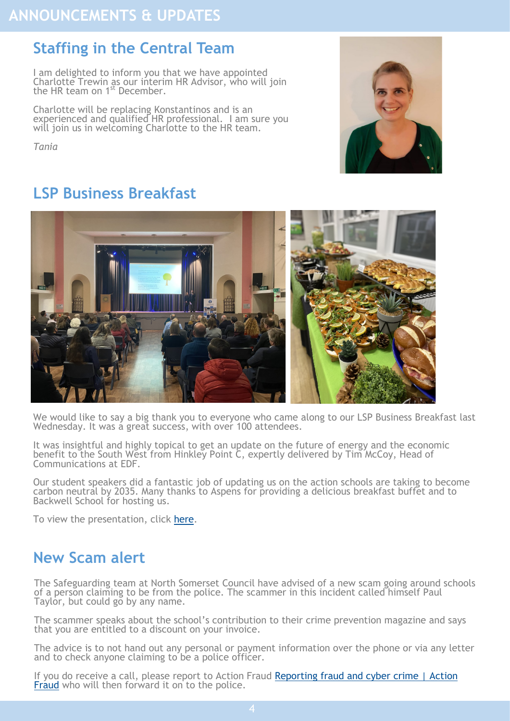## <span id="page-3-0"></span>**Staffing in the Central Team**

I am delighted to inform you that we have appointed Charlotte Trewin as our interim HR Advisor, who will join the HR team on 1<sup>st</sup> December.

Charlotte will be replacing Konstantinos and is an experienced and qualified HR professional. I am sure you will join us in welcoming Charlotte to the HR team.

*Tania*



## **LSP Business Breakfast**



We would like to say a big thank you to everyone who came along to our LSP Business Breakfast last Wednesday. It was a great success, with over 100 attendees.

It was insightful and highly topical to get an update on the future of energy and the economic benefit to the South West from Hinkley Point C, expertly delivered by Tim McCoy, Head of Communications at EDF.

Our student speakers did a fantastic job of updating us on the action schools are taking to become carbon neutral by 2035. Many thanks to Aspens for providing a delicious breakfast buffet and to Backwell School for hosting us.

To view the presentation, click [here.](https://foldr.lsp.org.uk/public/PY85P)

## **New Scam alert**

The Safeguarding team at North Somerset Council have advised of a new scam going around schools of a person claiming to be from the police. The scammer in this incident called himself Paul Taylor, but could go by any name.

The scammer speaks about the school's contribution to their crime prevention magazine and says that you are entitled to a discount on your invoice.

The advice is to not hand out any personal or payment information over the phone or via any letter and to check anyone claiming to be a police officer.

If you do receive a call, please report to Action Fraud Reporting fraud and cyber crime | Action [Fraud](https://www.actionfraud.police.uk/reporting-fraud-and-cyber-crime) who will then forward it on to the police.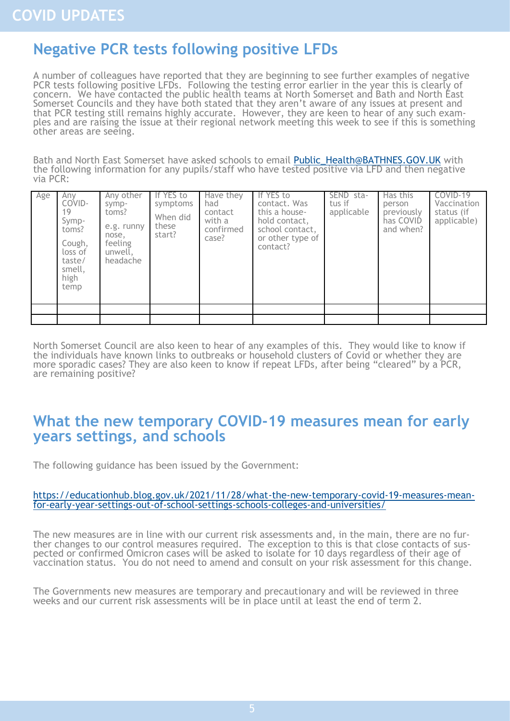## <span id="page-4-0"></span>**Negative PCR tests following positive LFDs**

A number of colleagues have reported that they are beginning to see further examples of negative PCR tests following positive LFDs. Following the testing error earlier in the year this is clearly of concern. We have contacted the public health teams at North Somerset and Bath and North East Somerset Councils and they have both stated that they aren't aware of any issues at present and that PCR testing still remains highly accurate. However, they are keen to hear of any such examples and are raising the issue at their regional network meeting this week to see if this is something other areas are seeing.

Bath and North East Somerset have asked schools to email Public Health@BATHNES.GOV.UK with the following information for any pupils/staff who have tested positive via LFD and then negative via PCR:

| Age | Any<br>COVID-<br>19<br>Symp-<br>toms?<br>Cough,<br>loss of<br>taste/<br>smell,<br>high<br>temp | Any other<br>symp-<br>toms?<br>e.g. runny<br>nose,<br>feeling<br>unwell.<br>headache | If YES to<br>symptoms<br>When did<br>these<br>start? | Have they<br>had<br>contact<br>with a<br>confirmed<br>case? | If YES to<br>contact. Was<br>this a house-<br>hold contact,<br>school contact,<br>or other type of<br>contact? | SEND sta-<br>tus if<br>applicable | Has this<br>person<br>previously<br>has COVID<br>and when? | COVID-19<br>Vaccination<br>status (if<br>applicable) |
|-----|------------------------------------------------------------------------------------------------|--------------------------------------------------------------------------------------|------------------------------------------------------|-------------------------------------------------------------|----------------------------------------------------------------------------------------------------------------|-----------------------------------|------------------------------------------------------------|------------------------------------------------------|
|     |                                                                                                |                                                                                      |                                                      |                                                             |                                                                                                                |                                   |                                                            |                                                      |

North Somerset Council are also keen to hear of any examples of this. They would like to know if the individuals have known links to outbreaks or household clusters of Covid or whether they are more sporadic cases? They are also keen to know if repeat LFDs, after being "cleared" by a PCR, are remaining positive?

### **What the new temporary COVID-19 measures mean for early years settings, and schools**

The following guidance has been issued by the Government:

#### [https://educationhub.blog.gov.uk/2021/11/28/what](https://educationhub.blog.gov.uk/2021/11/28/what-the-new-temporary-covid-19-measures-mean-for-early-year-settings-out-of-school-settings-schools-colleges-and-universities/)-the-new-temporary-covid-19-measures-meanfor-early-year-settings-out-of-school-settings-schools-colleges-and-[universities/](https://educationhub.blog.gov.uk/2021/11/28/what-the-new-temporary-covid-19-measures-mean-for-early-year-settings-out-of-school-settings-schools-colleges-and-universities/)

The new measures are in line with our current risk assessments and, in the main, there are no further changes to our control measures required. The exception to this is that close contacts of suspected or confirmed Omicron cases will be asked to isolate for 10 days regardless of their age of vaccination status. You do not need to amend and consult on your risk assessment for this change.

The Governments new measures are temporary and precautionary and will be reviewed in three weeks and our current risk assessments will be in place until at least the end of term 2.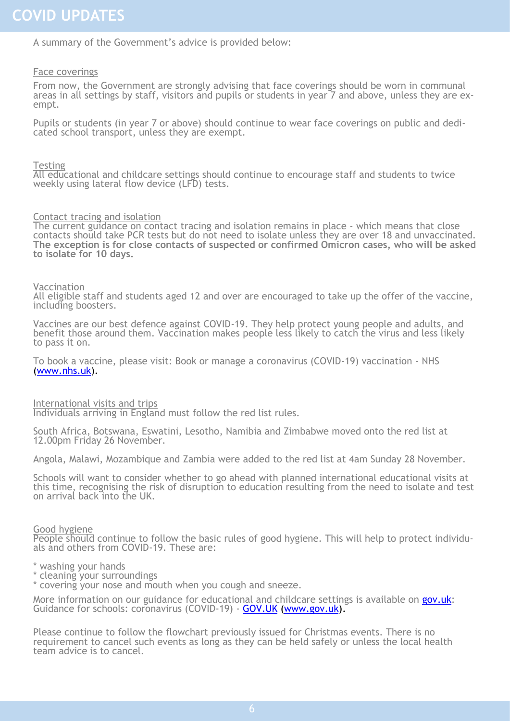A summary of the Government's advice is provided below:

#### Face coverings

From now, the Government are strongly advising that face coverings should be worn in communal areas in all settings by staff, visitors and pupils or students in year 7 and above, unless they are exempt.

Pupils or students (in year 7 or above) should continue to wear face coverings on public and dedicated school transport, unless they are exempt.

#### **Testing**

All educational and childcare settings should continue to encourage staff and students to twice weekly using lateral flow device (LFD) tests.

#### Contact tracing and isolation

The current guidance on contact tracing and isolation remains in place - which means that close contacts should take PCR tests but do not need to isolate unless they are over 18 and unvaccinated. **The exception is for close contacts of suspected or confirmed Omicron cases, who will be asked to isolate for 10 days.**

#### Vaccination

All eligible staff and students aged 12 and over are encouraged to take up the offer of the vaccine, including boosters.

Vaccines are our best defence against COVID-19. They help protect young people and adults, and benefit those around them. Vaccination makes people less likely to catch the virus and less likely to pass it on.

To book a vaccine, please visit: Book or manage a coronavirus (COVID-19) vaccination - NHS ([www.nhs.uk\).](http://www.nhs.uk)

#### International visits and trips

Individuals arriving in England must follow the red list rules.

South Africa, Botswana, Eswatini, Lesotho, Namibia and Zimbabwe moved onto the red list at 12.00pm Friday 26 November.

Angola, Malawi, Mozambique and Zambia were added to the red list at 4am Sunday 28 November.

Schools will want to consider whether to go ahead with planned international educational visits at this time, recognising the risk of disruption to education resulting from the need to isolate and test on arrival back into the UK.

#### Good hygiene

People should continue to follow the basic rules of good hygiene. This will help to protect individuals and others from COVID-19. These are:

- \* washing your hands
- \* cleaning your surroundings

\* covering your nose and mouth when you cough and sneeze.

More information on our guidance for educational and childcare settings is available on [gov.uk:](http://gov.uk) Guidance for schools: coronavirus (COVID-19) - [GOV.UK](http://GOV.UK) ([www.gov.uk\).](http://www.gov.uk)

Please continue to follow the flowchart previously issued for Christmas events. There is no requirement to cancel such events as long as they can be held safely or unless the local health team advice is to cancel.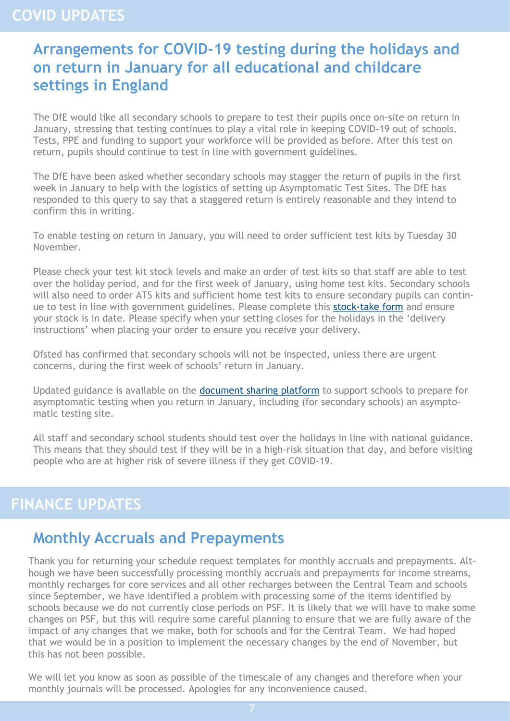## <span id="page-6-0"></span>**COVID UPDATES**

## **Arrangements for COVID-19 testing during the holidays and on return in January for all educational and childcare settings in England**

The DfE would like all secondary schools to prepare to test their pupils once on-site on return in January, stressing that testing continues to play a vital role in keeping COVID-19 out of schools. Tests, PPE and funding to support your workforce will be provided as before. After this test on return, pupils should continue to test in line with government guidelines.

The DfE have been asked whether secondary schools may stagger the return of pupils in the first week in January to help with the logistics of setting up Asymptomatic Test Sites. The DfE has responded to this query to say that a staggered return is entirely reasonable and they intend to confirm this in writing.

To enable testing on return in January, you will need to order sufficient test kits by Tuesday 30 November.

Please check your test kit stock levels and make an order of test kits so that staff are able to test over the holiday period, and for the first week of January, using home test kits. Secondary schools will also need to order ATS kits and sufficient home test kits to ensure secondary pupils can continue to test in line with government guidelines. Please complete this stock-[take form](https://forms.office.com/Pages/ResponsePage.aspx?id=yXfS-grGoU2187O4s0qC-cItYrlzC9FLoU5kGYk6uFtURDRCTEpBWUVPUE1ITUszNlJTWk4yOVlLQy4u&wdLOR=c2C396386-4E8F-4774-AAC3-13B6313A0D63) and ensure your stock is in date. Please specify when your setting closes for the holidays in the 'delivery instructions' when placing your order to ensure you receive your delivery.

Ofsted has confirmed that secondary schools will not be inspected, unless there are urgent concerns, during the first week of schools' return in January.

Updated guidance is available on the [document sharing platform](https://drive.google.com/drive/folders/1jYv0MjFyIIbzgPn_1S10OuRgfrj_b5_P) to support schools to prepare for asymptomatic testing when you return in January, including (for secondary schools) an asymptomatic testing site.

All staff and secondary school students should test over the holidays in line with national guidance. This means that they should test if they will be in a high-risk situation that day, and before visiting people who are at higher risk of severe illness if they get COVID-19.

## **FINANCE UPDATES**

## **Monthly Accruals and Prepayments**

Thank you for returning your schedule request templates for monthly accruals and prepayments. Although we have been successfully processing monthly accruals and prepayments for income streams, monthly recharges for core services and all other recharges between the Central Team and schools since September, we have identified a problem with processing some of the items identified by schools because we do not currently close periods on PSF. It is likely that we will have to make some changes on PSF, but this will require some careful planning to ensure that we are fully aware of the impact of any changes that we make, both for schools and for the Central Team. We had hoped that we would be in a position to implement the necessary changes by the end of November, but this has not been possible.

We will let you know as soon as possible of the timescale of any changes and therefore when your monthly journals will be processed. Apologies for any inconvenience caused.